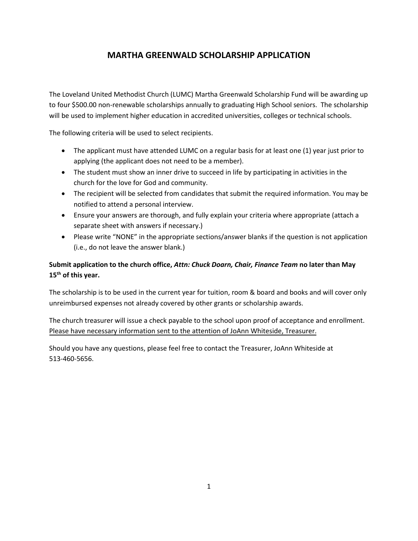The Loveland United Methodist Church (LUMC) Martha Greenwald Scholarship Fund will be awarding up to four \$500.00 non-renewable scholarships annually to graduating High School seniors. The scholarship will be used to implement higher education in accredited universities, colleges or technical schools.

The following criteria will be used to select recipients.

- The applicant must have attended LUMC on a regular basis for at least one (1) year just prior to applying (the applicant does not need to be a member).
- The student must show an inner drive to succeed in life by participating in activities in the church for the love for God and community.
- The recipient will be selected from candidates that submit the required information. You may be notified to attend a personal interview.
- Ensure your answers are thorough, and fully explain your criteria where appropriate (attach a separate sheet with answers if necessary.)
- Please write "NONE" in the appropriate sections/answer blanks if the question is not application (i.e., do not leave the answer blank.)

### **Submit application to the church office,** *Attn: Chuck Doarn, Chair, Finance Team* **no later than May 15 th of this year.**

The scholarship is to be used in the current year for tuition, room & board and books and will cover only unreimbursed expenses not already covered by other grants or scholarship awards.

The church treasurer will issue a check payable to the school upon proof of acceptance and enrollment. Please have necessary information sent to the attention of JoAnn Whiteside, Treasurer.

Should you have any questions, please feel free to contact the Treasurer, JoAnn Whiteside at 513-460-5656.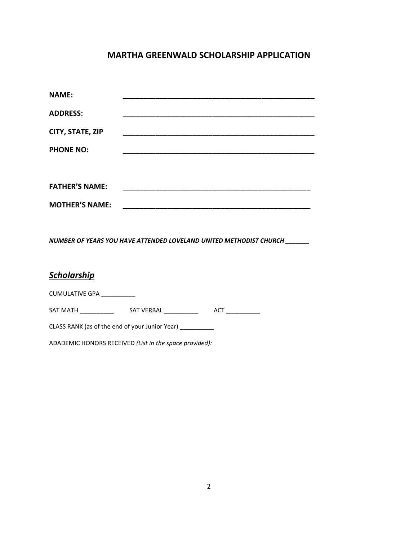| <b>NAME:</b>                                                       |                                                                                                                     |
|--------------------------------------------------------------------|---------------------------------------------------------------------------------------------------------------------|
| <b>ADDRESS:</b>                                                    |                                                                                                                     |
| CITY, STATE, ZIP                                                   |                                                                                                                     |
| <b>PHONE NO:</b>                                                   |                                                                                                                     |
|                                                                    |                                                                                                                     |
| <b>FATHER'S NAME:</b>                                              |                                                                                                                     |
|                                                                    | <u>. Se produce a construir a componente de la componenta de la componenta de la componenta de la componenta de</u> |
| <b>MOTHER'S NAME:</b>                                              |                                                                                                                     |
|                                                                    |                                                                                                                     |
| NUMBER OF YEARS YOU HAVE ATTENDED LOVELAND UNITED METHODIST CHURCH |                                                                                                                     |
|                                                                    |                                                                                                                     |
| <b>Scholarship</b>                                                 |                                                                                                                     |
|                                                                    |                                                                                                                     |
| CUMULATIVE GPA __________                                          |                                                                                                                     |
|                                                                    |                                                                                                                     |
|                                                                    |                                                                                                                     |

CLASS RANK (as of the end of your Junior Year) \_\_\_\_\_\_\_\_\_\_\_

ADADEMIC HONORS RECEIVED *(List in the space provided):*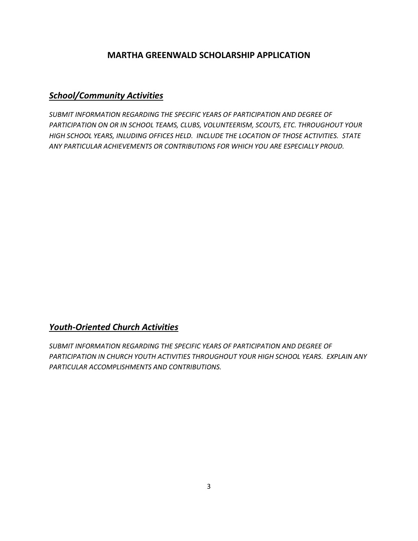# *School/Community Activities*

*SUBMIT INFORMATION REGARDING THE SPECIFIC YEARS OF PARTICIPATION AND DEGREE OF PARTICIPATION ON OR IN SCHOOL TEAMS, CLUBS, VOLUNTEERISM, SCOUTS, ETC. THROUGHOUT YOUR HIGH SCHOOL YEARS, INLUDING OFFICES HELD. INCLUDE THE LOCATION OF THOSE ACTIVITIES. STATE ANY PARTICULAR ACHIEVEMENTS OR CONTRIBUTIONS FOR WHICH YOU ARE ESPECIALLY PROUD.*

#### *Youth-Oriented Church Activities*

*SUBMIT INFORMATION REGARDING THE SPECIFIC YEARS OF PARTICIPATION AND DEGREE OF PARTICIPATION IN CHURCH YOUTH ACTIVITIES THROUGHOUT YOUR HIGH SCHOOL YEARS. EXPLAIN ANY PARTICULAR ACCOMPLISHMENTS AND CONTRIBUTIONS.*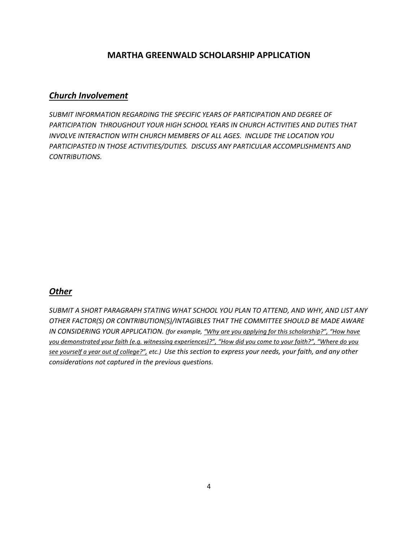#### *Church Involvement*

*SUBMIT INFORMATION REGARDING THE SPECIFIC YEARS OF PARTICIPATION AND DEGREE OF PARTICIPATION THROUGHOUT YOUR HIGH SCHOOL YEARS IN CHURCH ACTIVITIES AND DUTIES THAT INVOLVE INTERACTION WITH CHURCH MEMBERS OF ALL AGES. INCLUDE THE LOCATION YOU PARTICIPASTED IN THOSE ACTIVITIES/DUTIES. DISCUSS ANY PARTICULAR ACCOMPLISHMENTS AND CONTRIBUTIONS.*

## *Other*

*SUBMIT A SHORT PARAGRAPH STATING WHAT SCHOOL YOU PLAN TO ATTEND, AND WHY, AND LIST ANY OTHER FACTOR(S) OR CONTRIBUTION(S)/INTAGIBLES THAT THE COMMITTEE SHOULD BE MADE AWARE IN CONSIDERING YOUR APPLICATION. (for example, "Why are you applying for this scholarship?", "How have you demonstrated your faith (e.g. witnessing experiences)?", "How did you come to your faith?", "Where do you see yourself a year out of college?", etc.) Use this section to express your needs, your faith, and any other considerations not captured in the previous questions.*